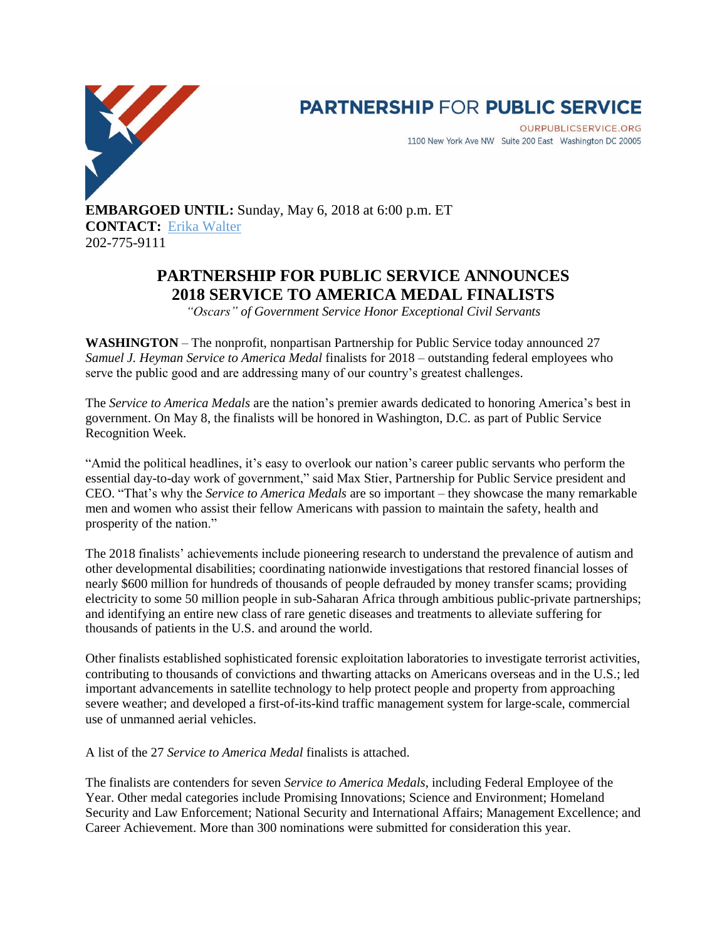

# **PARTNERSHIP FOR PUBLIC SERVICE**

OURPUBLICSERVICE.ORG 1100 New York Ave NW Suite 200 East Washington DC 20005

**EMBARGOED UNTIL:** Sunday, May 6, 2018 at 6:00 p.m. ET **CONTACT:** [Erika Walter](mailto:ewalter@ourpublicservice.org) 202-775-9111

# **PARTNERSHIP FOR PUBLIC SERVICE ANNOUNCES 2018 SERVICE TO AMERICA MEDAL FINALISTS**

*"Oscars" of Government Service Honor Exceptional Civil Servants*

**WASHINGTON** – The nonprofit, nonpartisan Partnership for Public Service today announced 27 *Samuel J. Heyman Service to America Medal* finalists for 2018 – outstanding federal employees who serve the public good and are addressing many of our country's greatest challenges.

The *Service to America Medals* are the nation's premier awards dedicated to honoring America's best in government. On May 8, the finalists will be honored in Washington, D.C. as part of Public Service Recognition Week.

"Amid the political headlines, it's easy to overlook our nation's career public servants who perform the essential day-to-day work of government," said Max Stier, Partnership for Public Service president and CEO. "That's why the *Service to America Medals* are so important – they showcase the many remarkable men and women who assist their fellow Americans with passion to maintain the safety, health and prosperity of the nation."

The 2018 finalists' achievements include pioneering research to understand the prevalence of autism and other developmental disabilities; coordinating nationwide investigations that restored financial losses of nearly \$600 million for hundreds of thousands of people defrauded by money transfer scams; providing electricity to some 50 million people in sub-Saharan Africa through ambitious public-private partnerships; and identifying an entire new class of rare genetic diseases and treatments to alleviate suffering for thousands of patients in the U.S. and around the world.

Other finalists established sophisticated forensic exploitation laboratories to investigate terrorist activities, contributing to thousands of convictions and thwarting attacks on Americans overseas and in the U.S.; led important advancements in satellite technology to help protect people and property from approaching severe weather; and developed a first-of-its-kind traffic management system for large-scale, commercial use of unmanned aerial vehicles.

A list of the 27 *Service to America Medal* finalists is attached.

The finalists are contenders for seven *Service to America Medals*, including Federal Employee of the Year. Other medal categories include Promising Innovations; Science and Environment; Homeland Security and Law Enforcement; National Security and International Affairs; Management Excellence; and Career Achievement. More than 300 nominations were submitted for consideration this year.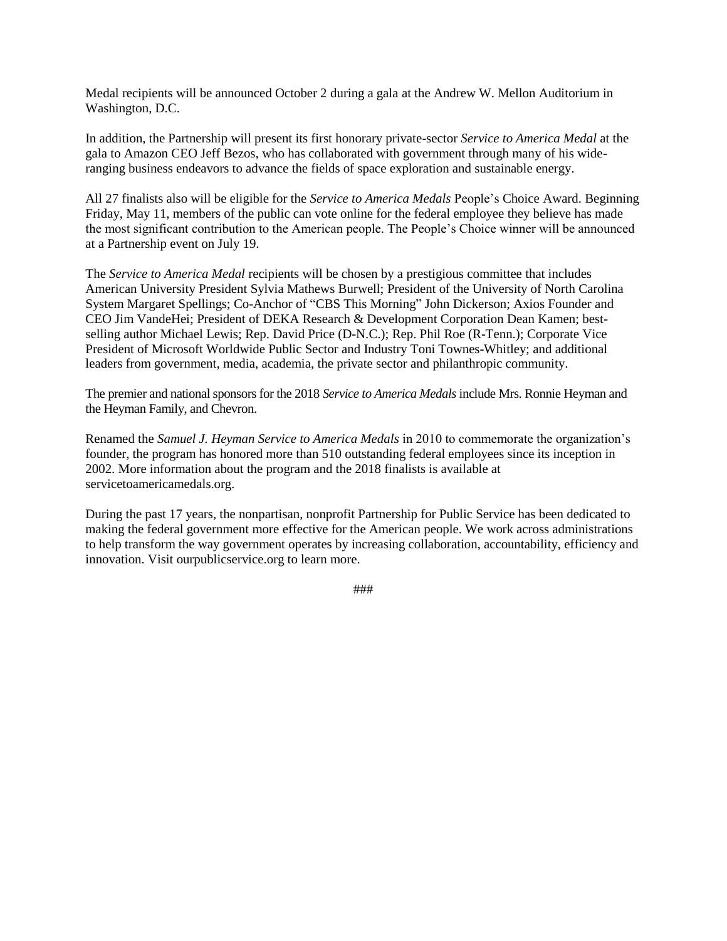Medal recipients will be announced October 2 during a gala at the Andrew W. Mellon Auditorium in Washington, D.C.

In addition, the Partnership will present its first honorary private-sector *Service to America Medal* at the gala to Amazon CEO Jeff Bezos, who has collaborated with government through many of his wideranging business endeavors to advance the fields of space exploration and sustainable energy.

All 27 finalists also will be eligible for the *Service to America Medals* People's Choice Award. Beginning Friday, May 11, members of the public can vote online for the federal employee they believe has made the most significant contribution to the American people. The People's Choice winner will be announced at a Partnership event on July 19.

The *Service to America Medal* recipients will be chosen by a prestigious committee that includes American University President Sylvia Mathews Burwell; President of the University of North Carolina System Margaret Spellings; Co-Anchor of "CBS This Morning" John Dickerson; Axios Founder and CEO Jim VandeHei; President of DEKA Research & Development Corporation Dean Kamen; bestselling author Michael Lewis; Rep. David Price (D-N.C.); Rep. Phil Roe (R-Tenn.); Corporate Vice President of Microsoft Worldwide Public Sector and Industry Toni Townes-Whitley; and additional leaders from government, media, academia, the private sector and philanthropic community.

The premier and national sponsors for the 2018 *Service to America Medals* include Mrs. Ronnie Heyman and the Heyman Family, and Chevron.

Renamed the *Samuel J. Heyman Service to America Medals* in 2010 to commemorate the organization's founder, the program has honored more than 510 outstanding federal employees since its inception in 2002. More information about the program and the 2018 finalists is available at servicetoamericamedals.org.

During the past 17 years, the nonpartisan, nonprofit Partnership for Public Service has been dedicated to making the federal government more effective for the American people. We work across administrations to help transform the way government operates by increasing collaboration, accountability, efficiency and innovation. Visit ourpublicservice.org to learn more.

###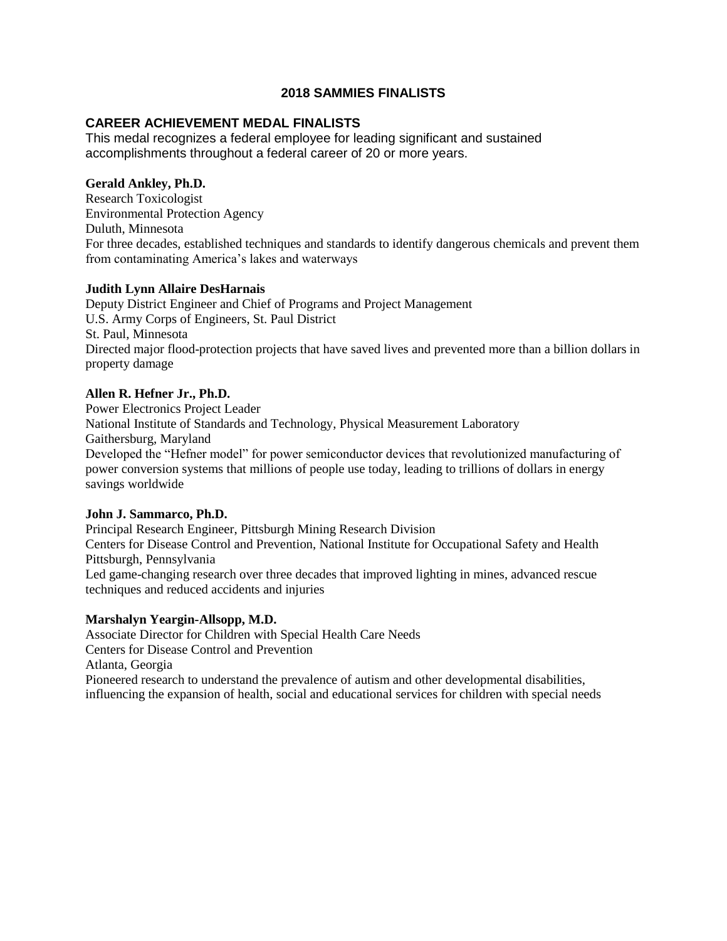#### **2018 SAMMIES FINALISTS**

#### **CAREER ACHIEVEMENT MEDAL FINALISTS**

This medal recognizes a federal employee for leading significant and sustained accomplishments throughout a federal career of 20 or more years.

#### **Gerald Ankley, Ph.D.**

Research Toxicologist Environmental Protection Agency Duluth, Minnesota For three decades, established techniques and standards to identify dangerous chemicals and prevent them from contaminating America's lakes and waterways

#### **Judith Lynn Allaire DesHarnais**

Deputy District Engineer and Chief of Programs and Project Management U.S. Army Corps of Engineers, St. Paul District St. Paul, Minnesota Directed major flood-protection projects that have saved lives and prevented more than a billion dollars in property damage

#### **Allen R. Hefner Jr., Ph.D.**

Power Electronics Project Leader National Institute of Standards and Technology, Physical Measurement Laboratory Gaithersburg, Maryland Developed the "Hefner model" for power semiconductor devices that revolutionized manufacturing of power conversion systems that millions of people use today, leading to trillions of dollars in energy savings worldwide

#### **John J. Sammarco, Ph.D.**

Principal Research Engineer, Pittsburgh Mining Research Division Centers for Disease Control and Prevention, National Institute for Occupational Safety and Health Pittsburgh, Pennsylvania Led game-changing research over three decades that improved lighting in mines, advanced rescue techniques and reduced accidents and injuries

#### **Marshalyn Yeargin-Allsopp, M.D.**

Associate Director for Children with Special Health Care Needs Centers for Disease Control and Prevention Atlanta, Georgia Pioneered research to understand the prevalence of autism and other developmental disabilities, influencing the expansion of health, social and educational services for children with special needs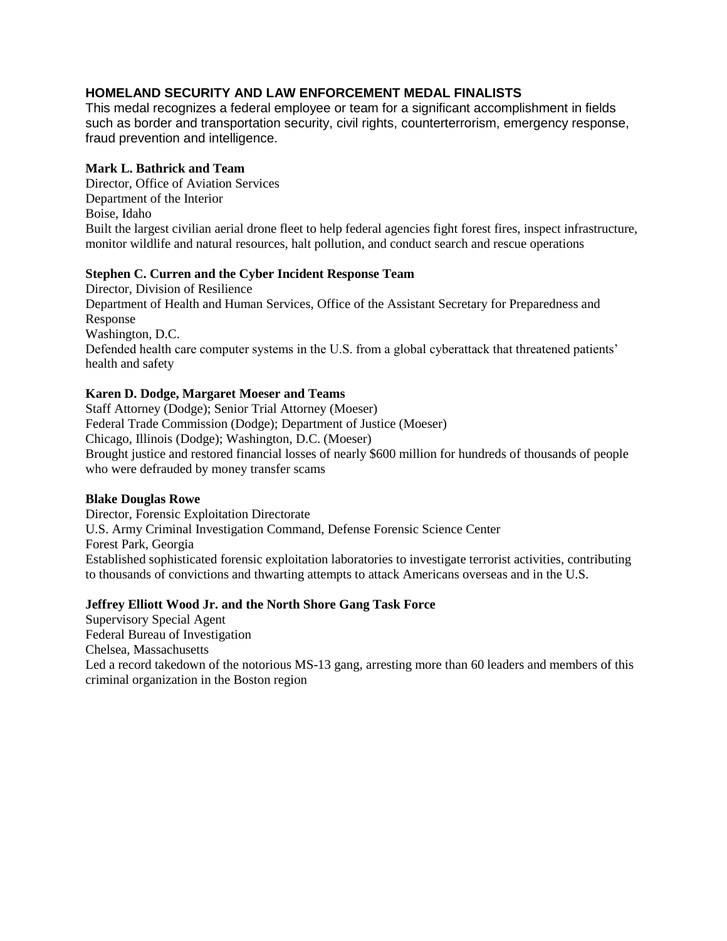# **HOMELAND SECURITY AND LAW ENFORCEMENT MEDAL FINALISTS**

This medal recognizes a federal employee or team for a significant accomplishment in fields such as border and transportation security, civil rights, counterterrorism, emergency response, fraud prevention and intelligence.

#### **Mark L. Bathrick and Team**

Director, Office of Aviation Services Department of the Interior Boise, Idaho Built the largest civilian aerial drone fleet to help federal agencies fight forest fires, inspect infrastructure, monitor wildlife and natural resources, halt pollution, and conduct search and rescue operations

#### **Stephen C. Curren and the Cyber Incident Response Team**

Director, Division of Resilience Department of Health and Human Services, Office of the Assistant Secretary for Preparedness and Response Washington, D.C. Defended health care computer systems in the U.S. from a global cyberattack that threatened patients' health and safety

#### **Karen D. Dodge, Margaret Moeser and Teams**

Staff Attorney (Dodge); Senior Trial Attorney (Moeser) Federal Trade Commission (Dodge); Department of Justice (Moeser) Chicago, Illinois (Dodge); Washington, D.C. (Moeser) Brought justice and restored financial losses of nearly \$600 million for hundreds of thousands of people who were defrauded by money transfer scams

#### **Blake Douglas Rowe**

Director, Forensic Exploitation Directorate U.S. Army Criminal Investigation Command, Defense Forensic Science Center Forest Park, Georgia Established sophisticated forensic exploitation laboratories to investigate terrorist activities, contributing to thousands of convictions and thwarting attempts to attack Americans overseas and in the U.S.

#### **Jeffrey Elliott Wood Jr. and the North Shore Gang Task Force**

Supervisory Special Agent Federal Bureau of Investigation Chelsea, Massachusetts Led a record takedown of the notorious MS-13 gang, arresting more than 60 leaders and members of this criminal organization in the Boston region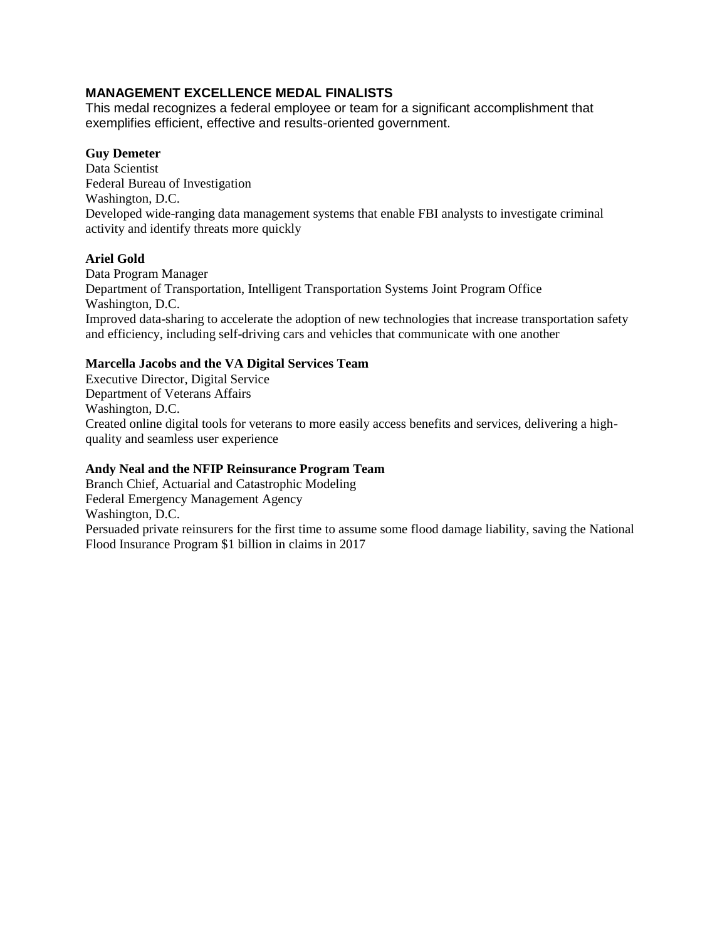# **MANAGEMENT EXCELLENCE MEDAL FINALISTS**

This medal recognizes a federal employee or team for a significant accomplishment that exemplifies efficient, effective and results-oriented government.

#### **Guy Demeter**

Data Scientist Federal Bureau of Investigation Washington, D.C. Developed wide-ranging data management systems that enable FBI analysts to investigate criminal activity and identify threats more quickly

#### **Ariel Gold**

Data Program Manager Department of Transportation, Intelligent Transportation Systems Joint Program Office Washington, D.C. Improved data-sharing to accelerate the adoption of new technologies that increase transportation safety and efficiency, including self-driving cars and vehicles that communicate with one another

#### **Marcella Jacobs and the VA Digital Services Team**

Executive Director, Digital Service Department of Veterans Affairs Washington, D.C. Created online digital tools for veterans to more easily access benefits and services, delivering a highquality and seamless user experience

#### **Andy Neal and the NFIP Reinsurance Program Team**

Branch Chief, Actuarial and Catastrophic Modeling Federal Emergency Management Agency Washington, D.C. Persuaded private reinsurers for the first time to assume some flood damage liability, saving the National Flood Insurance Program \$1 billion in claims in 2017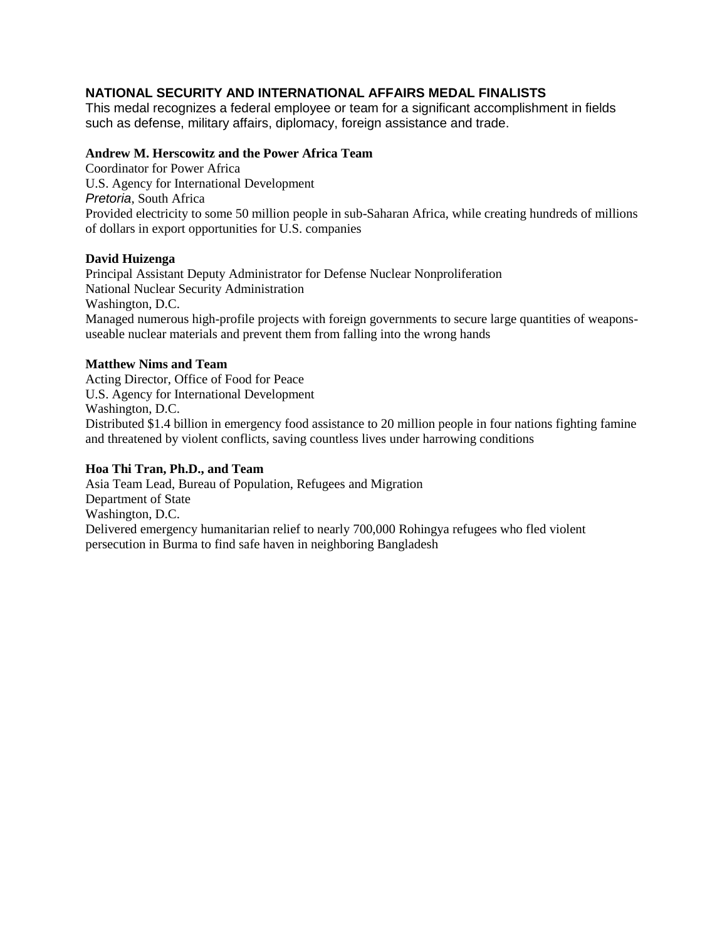# **NATIONAL SECURITY AND INTERNATIONAL AFFAIRS MEDAL FINALISTS**

This medal recognizes a federal employee or team for a significant accomplishment in fields such as defense, military affairs, diplomacy, foreign assistance and trade.

#### **Andrew M. Herscowitz and the Power Africa Team**

Coordinator for Power Africa U.S. Agency for International Development *Pretoria*, South Africa Provided electricity to some 50 million people in sub-Saharan Africa, while creating hundreds of millions of dollars in export opportunities for U.S. companies

#### **David Huizenga**

Principal Assistant Deputy Administrator for Defense Nuclear Nonproliferation National Nuclear Security Administration Washington, D.C. Managed numerous high-profile projects with foreign governments to secure large quantities of weaponsuseable nuclear materials and prevent them from falling into the wrong hands

#### **Matthew Nims and Team**

Acting Director, Office of Food for Peace U.S. Agency for International Development Washington, D.C. Distributed \$1.4 billion in emergency food assistance to 20 million people in four nations fighting famine and threatened by violent conflicts, saving countless lives under harrowing conditions

#### **Hoa Thi Tran, Ph.D., and Team**

Asia Team Lead, Bureau of Population, Refugees and Migration Department of State Washington, D.C. Delivered emergency humanitarian relief to nearly 700,000 Rohingya refugees who fled violent persecution in Burma to find safe haven in neighboring Bangladesh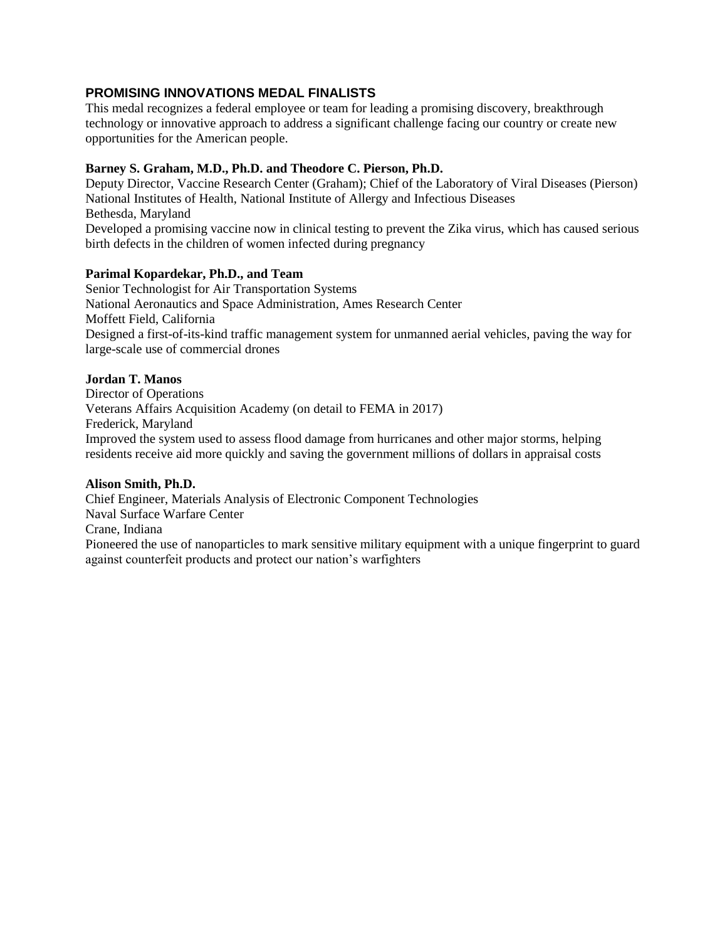# **PROMISING INNOVATIONS MEDAL FINALISTS**

This medal recognizes a federal employee or team for leading a promising discovery, breakthrough technology or innovative approach to address a significant challenge facing our country or create new opportunities for the American people.

#### **Barney S. Graham, M.D., Ph.D. and Theodore C. Pierson, Ph.D.**

Deputy Director, Vaccine Research Center (Graham); Chief of the Laboratory of Viral Diseases (Pierson) National Institutes of Health, National Institute of Allergy and Infectious Diseases Bethesda, Maryland

Developed a promising vaccine now in clinical testing to prevent the Zika virus, which has caused serious birth defects in the children of women infected during pregnancy

#### **Parimal Kopardekar, Ph.D., and Team**

Senior Technologist for Air Transportation Systems National Aeronautics and Space Administration, Ames Research Center Moffett Field, California Designed a first-of-its-kind traffic management system for unmanned aerial vehicles, paving the way for large-scale use of commercial drones

#### **Jordan T. Manos**

Director of Operations Veterans Affairs Acquisition Academy (on detail to FEMA in 2017) Frederick, Maryland Improved the system used to assess flood damage from hurricanes and other major storms, helping residents receive aid more quickly and saving the government millions of dollars in appraisal costs

#### **Alison Smith, Ph.D.**

Chief Engineer, Materials Analysis of Electronic Component Technologies Naval Surface Warfare Center Crane, Indiana Pioneered the use of nanoparticles to mark sensitive military equipment with a unique fingerprint to guard against counterfeit products and protect our nation's warfighters